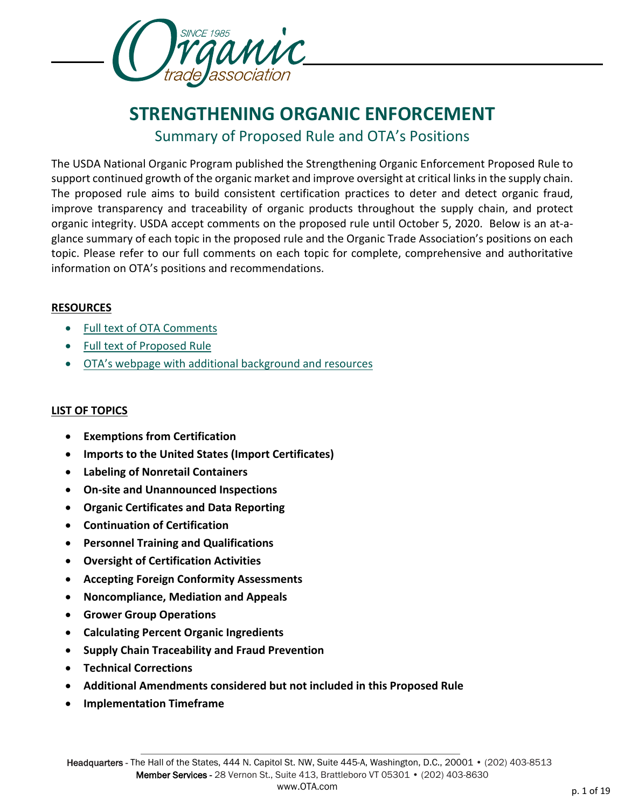

# **STRENGTHENING ORGANIC ENFORCEMENT** Summary of Proposed Rule and OTA's Positions

The USDA National Organic Program published the Strengthening Organic Enforcement Proposed Rule to support continued growth of the organic market and improve oversight at critical links in the supply chain. The proposed rule aims to build consistent certification practices to deter and detect organic fraud, improve transparency and traceability of organic products throughout the supply chain, and protect organic integrity. USDA accept comments on the proposed rule until October 5, 2020. Below is an at-aglance summary of each topic in the proposed rule and the Organic Trade Association's positions on each topic. Please refer to our full comments on each topic for complete, comprehensive and authoritative information on OTA's positions and recommendations.

# **RESOURCES**

- [Full text of OTA Comments](https://ota.com/sites/default/files/indexed_files/OTA-SOE-BundledComments-AMS-NOP-17-0065_Final.pdf)
- [Full text of Proposed Rule](https://www.govinfo.gov/content/pkg/FR-2020-08-05/pdf/2020-14581.pdf)
- OTA's [webpage with additional background and resources](https://ota.com/advocacy/critical-issues/organic-oversight-enforcement)

# **LIST OF TOPICS**

- **Exemptions from Certification**
- **Imports to the United States (Import Certificates)**
- **Labeling of Nonretail Containers**
- **On-site and Unannounced Inspections**
- **Organic Certificates and Data Reporting**
- **Continuation of Certification**
- **Personnel Training and Qualifications**
- **Oversight of Certification Activities**
- **Accepting Foreign Conformity Assessments**
- **Noncompliance, Mediation and Appeals**
- **Grower Group Operations**
- **Calculating Percent Organic Ingredients**
- **Supply Chain Traceability and Fraud Prevention**
- **Technical Corrections**
- **Additional Amendments considered but not included in this Proposed Rule**
- **Implementation Timeframe**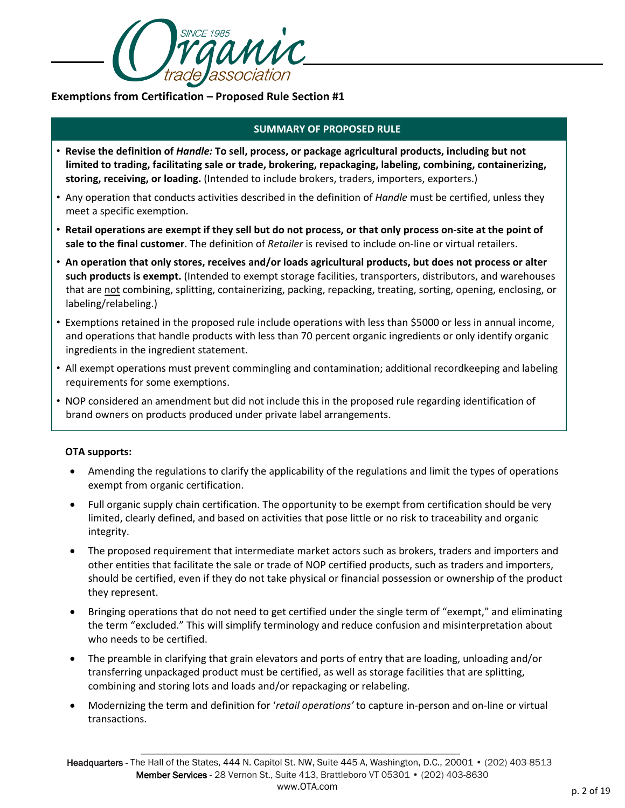

**Exemptions from Certification – Proposed Rule Section #1**

#### **SUMMARY OF PROPOSED RULE**

- **Revise the definition of** *Handle:* **To sell, process, or package agricultural products, including but not limited to trading, facilitating sale or trade, brokering, repackaging, labeling, combining, containerizing, storing, receiving, or loading.** (Intended to include brokers, traders, importers, exporters.)
- Any operation that conducts activities described in the definition of *Handle* must be certified, unless they meet a specific exemption.
- **Retail operations are exempt if they sell but do not process, or that only process on-site at the point of sale to the final customer**. The definition of *Retailer* is revised to include on-line or virtual retailers.
- **An operation that only stores, receives and/or loads agricultural products, but does not process or alter such products is exempt.** (Intended to exempt storage facilities, transporters, distributors, and warehouses that are not combining, splitting, containerizing, packing, repacking, treating, sorting, opening, enclosing, or labeling/relabeling.)
- Exemptions retained in the proposed rule include operations with less than \$5000 or less in annual income, and operations that handle products with less than 70 percent organic ingredients or only identify organic ingredients in the ingredient statement.
- All exempt operations must prevent commingling and contamination; additional recordkeeping and labeling requirements for some exemptions.
- NOP considered an amendment but did not include this in the proposed rule regarding identification of brand owners on products produced under private label arrangements.

#### **OTA supports:**

- Amending the regulations to clarify the applicability of the regulations and limit the types of operations exempt from organic certification.
- Full organic supply chain certification. The opportunity to be exempt from certification should be very limited, clearly defined, and based on activities that pose little or no risk to traceability and organic integrity.
- The proposed requirement that intermediate market actors such as brokers, traders and importers and other entities that facilitate the sale or trade of NOP certified products, such as traders and importers, should be certified, even if they do not take physical or financial possession or ownership of the product they represent.
- Bringing operations that do not need to get certified under the single term of "exempt," and eliminating the term "excluded." This will simplify terminology and reduce confusion and misinterpretation about who needs to be certified.
- The preamble in clarifying that grain elevators and ports of entry that are loading, unloading and/or transferring unpackaged product must be certified, as well as storage facilities that are splitting, combining and storing lots and loads and/or repackaging or relabeling.
- Modernizing the term and definition for '*retail operations'* to capture in-person and on-line or virtual transactions.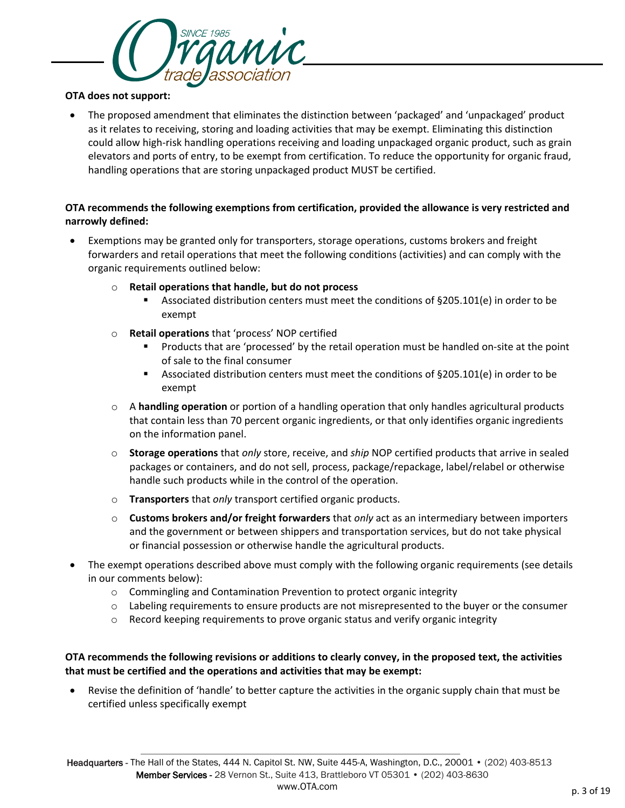

#### **OTA does not support:**

• The proposed amendment that eliminates the distinction between 'packaged' and 'unpackaged' product as it relates to receiving, storing and loading activities that may be exempt. Eliminating this distinction could allow high-risk handling operations receiving and loading unpackaged organic product, such as grain elevators and ports of entry, to be exempt from certification. To reduce the opportunity for organic fraud, handling operations that are storing unpackaged product MUST be certified.

#### **OTA recommends the following exemptions from certification, provided the allowance is very restricted and narrowly defined:**

- Exemptions may be granted only for transporters, storage operations, customs brokers and freight forwarders and retail operations that meet the following conditions (activities) and can comply with the organic requirements outlined below:
	- o **Retail operations that handle, but do not process**
		- Associated distribution centers must meet the conditions of §205.101(e) in order to be exempt
	- o **Retail operations** that 'process' NOP certified
		- **Products that are 'processed' by the retail operation must be handled on-site at the point** of sale to the final consumer
		- Associated distribution centers must meet the conditions of §205.101(e) in order to be exempt
	- o A **handling operation** or portion of a handling operation that only handles agricultural products that contain less than 70 percent organic ingredients, or that only identifies organic ingredients on the information panel.
	- o **Storage operations** that *only* store, receive, and *ship* NOP certified products that arrive in sealed packages or containers, and do not sell, process, package/repackage, label/relabel or otherwise handle such products while in the control of the operation.
	- o **Transporters** that *only* transport certified organic products.
	- o **Customs brokers and/or freight forwarders** that *only* act as an intermediary between importers and the government or between shippers and transportation services, but do not take physical or financial possession or otherwise handle the agricultural products.
- The exempt operations described above must comply with the following organic requirements (see details in our comments below):
	- o Commingling and Contamination Prevention to protect organic integrity
	- o Labeling requirements to ensure products are not misrepresented to the buyer or the consumer
	- $\circ$  Record keeping requirements to prove organic status and verify organic integrity

# **OTA recommends the following revisions or additions to clearly convey, in the proposed text, the activities that must be certified and the operations and activities that may be exempt:**

• Revise the definition of 'handle' to better capture the activities in the organic supply chain that must be certified unless specifically exempt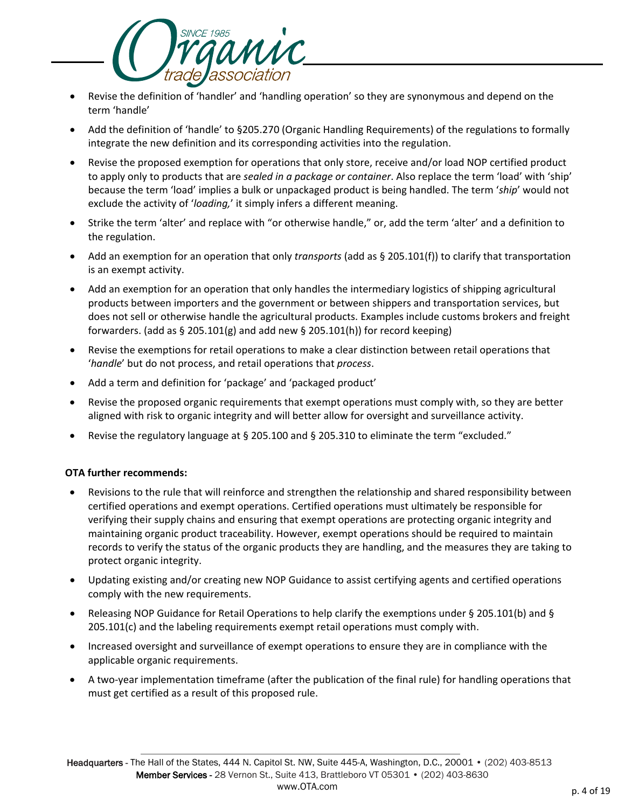

- Revise the definition of 'handler' and 'handling operation' so they are synonymous and depend on the term 'handle'
- Add the definition of 'handle' to §205.270 (Organic Handling Requirements) of the regulations to formally integrate the new definition and its corresponding activities into the regulation.
- Revise the proposed exemption for operations that only store, receive and/or load NOP certified product to apply only to products that are *sealed in a package or container*. Also replace the term 'load' with 'ship' because the term 'load' implies a bulk or unpackaged product is being handled. The term '*ship*' would not exclude the activity of '*loading,*' it simply infers a different meaning.
- Strike the term 'alter' and replace with "or otherwise handle," or, add the term 'alter' and a definition to the regulation.
- Add an exemption for an operation that only *transports* (add as § 205.101(f)) to clarify that transportation is an exempt activity.
- Add an exemption for an operation that only handles the intermediary logistics of shipping agricultural products between importers and the government or between shippers and transportation services, but does not sell or otherwise handle the agricultural products. Examples include customs brokers and freight forwarders. (add as § 205.101(g) and add new § 205.101(h)) for record keeping)
- Revise the exemptions for retail operations to make a clear distinction between retail operations that '*handle*' but do not process, and retail operations that *process*.
- Add a term and definition for 'package' and 'packaged product'
- Revise the proposed organic requirements that exempt operations must comply with, so they are better aligned with risk to organic integrity and will better allow for oversight and surveillance activity.
- Revise the regulatory language at § 205.100 and § 205.310 to eliminate the term "excluded."

#### **OTA further recommends:**

- Revisions to the rule that will reinforce and strengthen the relationship and shared responsibility between certified operations and exempt operations. Certified operations must ultimately be responsible for verifying their supply chains and ensuring that exempt operations are protecting organic integrity and maintaining organic product traceability. However, exempt operations should be required to maintain records to verify the status of the organic products they are handling, and the measures they are taking to protect organic integrity.
- Updating existing and/or creating new NOP Guidance to assist certifying agents and certified operations comply with the new requirements.
- Releasing NOP Guidance for Retail Operations to help clarify the exemptions under § 205.101(b) and § 205.101(c) and the labeling requirements exempt retail operations must comply with.
- Increased oversight and surveillance of exempt operations to ensure they are in compliance with the applicable organic requirements.
- A two-year implementation timeframe (after the publication of the final rule) for handling operations that must get certified as a result of this proposed rule.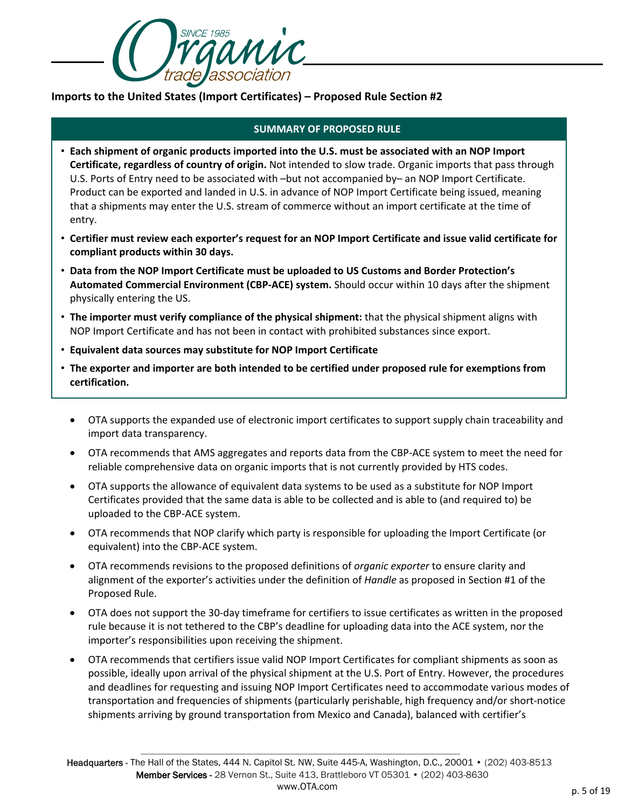

# **Imports to the United States (Import Certificates) – Proposed Rule Section #2**

- **Each shipment of organic products imported into the U.S. must be associated with an NOP Import Certificate, regardless of country of origin.** Not intended to slow trade. Organic imports that pass through U.S. Ports of Entry need to be associated with –but not accompanied by– an NOP Import Certificate. Product can be exported and landed in U.S. in advance of NOP Import Certificate being issued, meaning that a shipments may enter the U.S. stream of commerce without an import certificate at the time of entry.
- **Certifier must review each exporter's request for an NOP Import Certificate and issue valid certificate for compliant products within 30 days.**
- **Data from the NOP Import Certificate must be uploaded to US Customs and Border Protection's Automated Commercial Environment (CBP-ACE) system.** Should occur within 10 days after the shipment physically entering the US.
- **The importer must verify compliance of the physical shipment:** that the physical shipment aligns with NOP Import Certificate and has not been in contact with prohibited substances since export.
- **Equivalent data sources may substitute for NOP Import Certificate**
- **The exporter and importer are both intended to be certified under proposed rule for exemptions from certification.** 
	- OTA supports the expanded use of electronic import certificates to support supply chain traceability and import data transparency.
	- OTA recommends that AMS aggregates and reports data from the CBP-ACE system to meet the need for reliable comprehensive data on organic imports that is not currently provided by HTS codes.
	- OTA supports the allowance of equivalent data systems to be used as a substitute for NOP Import Certificates provided that the same data is able to be collected and is able to (and required to) be uploaded to the CBP-ACE system.
	- OTA recommends that NOP clarify which party is responsible for uploading the Import Certificate (or equivalent) into the CBP-ACE system.
	- OTA recommends revisions to the proposed definitions of *organic exporter* to ensure clarity and alignment of the exporter's activities under the definition of *Handle* as proposed in Section #1 of the Proposed Rule.
	- OTA does not support the 30-day timeframe for certifiers to issue certificates as written in the proposed rule because it is not tethered to the CBP's deadline for uploading data into the ACE system, nor the importer's responsibilities upon receiving the shipment.
	- OTA recommends that certifiers issue valid NOP Import Certificates for compliant shipments as soon as possible, ideally upon arrival of the physical shipment at the U.S. Port of Entry. However, the procedures and deadlines for requesting and issuing NOP Import Certificates need to accommodate various modes of transportation and frequencies of shipments (particularly perishable, high frequency and/or short-notice shipments arriving by ground transportation from Mexico and Canada), balanced with certifier's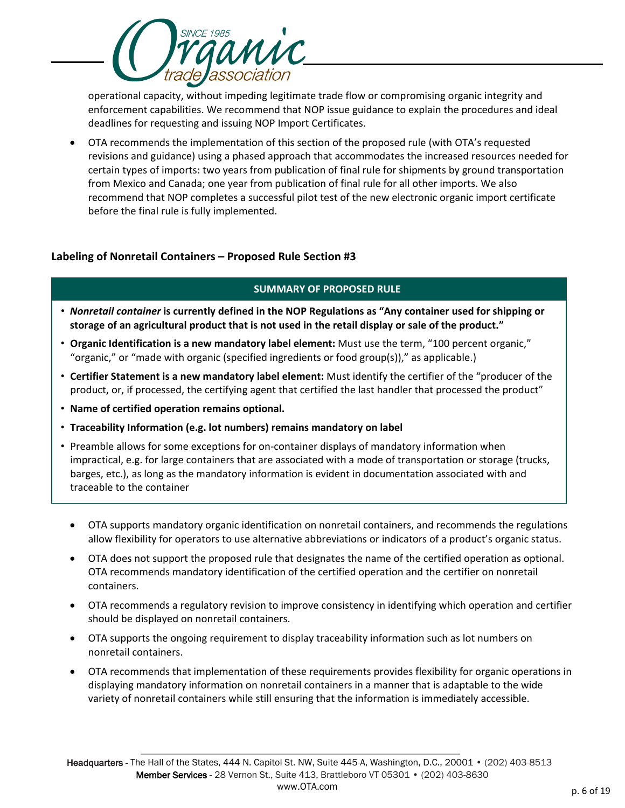operational capacity, without impeding legitimate trade flow or compromising organic integrity and enforcement capabilities. We recommend that NOP issue guidance to explain the procedures and ideal deadlines for requesting and issuing NOP Import Certificates.

MMC

• OTA recommends the implementation of this section of the proposed rule (with OTA's requested revisions and guidance) using a phased approach that accommodates the increased resources needed for certain types of imports: two years from publication of final rule for shipments by ground transportation from Mexico and Canada; one year from publication of final rule for all other imports. We also recommend that NOP completes a successful pilot test of the new electronic organic import certificate before the final rule is fully implemented.

# **Labeling of Nonretail Containers – Proposed Rule Section #3**

- *Nonretail container* **is currently defined in the NOP Regulations as "Any container used for shipping or storage of an agricultural product that is not used in the retail display or sale of the product."**
- **Organic Identification is a new mandatory label element:** Must use the term, "100 percent organic," "organic," or "made with organic (specified ingredients or food group(s))," as applicable.)
- **Certifier Statement is a new mandatory label element:** Must identify the certifier of the "producer of the product, or, if processed, the certifying agent that certified the last handler that processed the product"
- **Name of certified operation remains optional.**
- **Traceability Information (e.g. lot numbers) remains mandatory on label**
- Preamble allows for some exceptions for on-container displays of mandatory information when impractical, e.g. for large containers that are associated with a mode of transportation or storage (trucks, barges, etc.), as long as the mandatory information is evident in documentation associated with and traceable to the container
	- OTA supports mandatory organic identification on nonretail containers, and recommends the regulations allow flexibility for operators to use alternative abbreviations or indicators of a product's organic status.
	- OTA does not support the proposed rule that designates the name of the certified operation as optional. OTA recommends mandatory identification of the certified operation and the certifier on nonretail containers.
	- OTA recommends a regulatory revision to improve consistency in identifying which operation and certifier should be displayed on nonretail containers.
	- OTA supports the ongoing requirement to display traceability information such as lot numbers on nonretail containers.
	- OTA recommends that implementation of these requirements provides flexibility for organic operations in displaying mandatory information on nonretail containers in a manner that is adaptable to the wide variety of nonretail containers while still ensuring that the information is immediately accessible.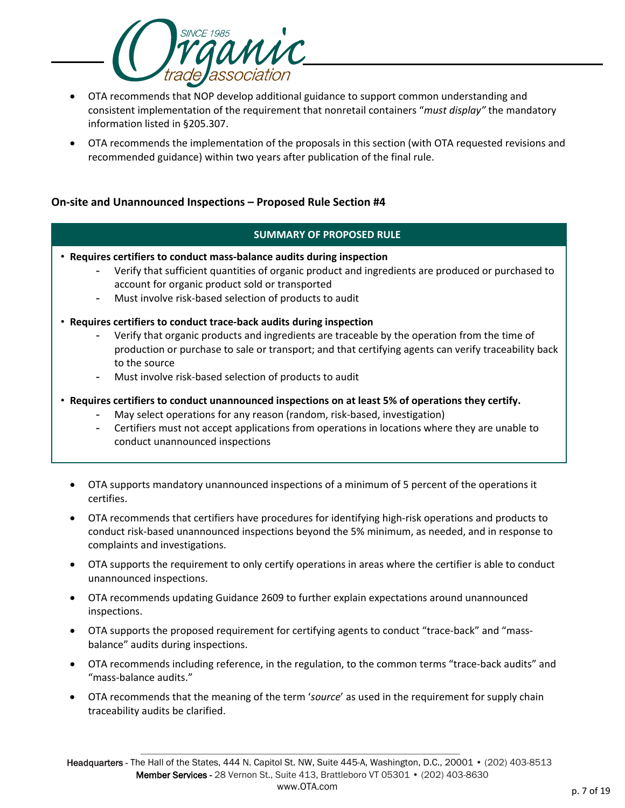

- OTA recommends that NOP develop additional guidance to support common understanding and consistent implementation of the requirement that nonretail containers "*must display"* the mandatory information listed in §205.307.
- OTA recommends the implementation of the proposals in this section (with OTA requested revisions and recommended guidance) within two years after publication of the final rule.

# **On-site and Unannounced Inspections – Proposed Rule Section #4**

- **Requires certifiers to conduct mass-balance audits during inspection** 
	- Verify that sufficient quantities of organic product and ingredients are produced or purchased to account for organic product sold or transported
	- Must involve risk-based selection of products to audit
- **Requires certifiers to conduct trace-back audits during inspection** 
	- Verify that organic products and ingredients are traceable by the operation from the time of production or purchase to sale or transport; and that certifying agents can verify traceability back to the source
	- Must involve risk-based selection of products to audit
- **Requires certifiers to conduct unannounced inspections on at least 5% of operations they certify.**
	- May select operations for any reason (random, risk-based, investigation)
	- Certifiers must not accept applications from operations in locations where they are unable to conduct unannounced inspections
	- OTA supports mandatory unannounced inspections of a minimum of 5 percent of the operations it certifies.
	- OTA recommends that certifiers have procedures for identifying high-risk operations and products to conduct risk-based unannounced inspections beyond the 5% minimum, as needed, and in response to complaints and investigations.
	- OTA supports the requirement to only certify operations in areas where the certifier is able to conduct unannounced inspections.
	- OTA recommends updating Guidance 2609 to further explain expectations around unannounced inspections.
	- OTA supports the proposed requirement for certifying agents to conduct "trace-back" and "massbalance" audits during inspections.
	- OTA recommends including reference, in the regulation, to the common terms "trace-back audits" and "mass-balance audits."
	- OTA recommends that the meaning of the term '*source*' as used in the requirement for supply chain traceability audits be clarified.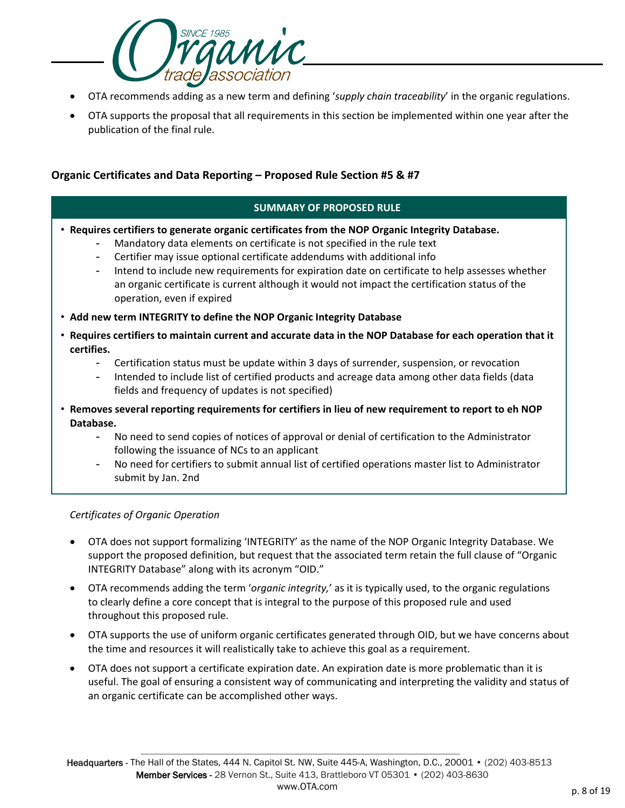

- OTA recommends adding as a new term and defining '*supply chain traceability*' in the organic regulations.
- OTA supports the proposal that all requirements in this section be implemented within one year after the publication of the final rule.

# **Organic Certificates and Data Reporting – Proposed Rule Section #5 & #7**

#### **SUMMARY OF PROPOSED RULE**

- **Requires certifiers to generate organic certificates from the NOP Organic Integrity Database.** 
	- Mandatory data elements on certificate is not specified in the rule text
	- Certifier may issue optional certificate addendums with additional info
	- Intend to include new requirements for expiration date on certificate to help assesses whether an organic certificate is current although it would not impact the certification status of the operation, even if expired
- **Add new term INTEGRITY to define the NOP Organic Integrity Database**
- **Requires certifiers to maintain current and accurate data in the NOP Database for each operation that it certifies.**
	- Certification status must be update within 3 days of surrender, suspension, or revocation
	- Intended to include list of certified products and acreage data among other data fields (data fields and frequency of updates is not specified)
- **Removes several reporting requirements for certifiers in lieu of new requirement to report to eh NOP Database.**
	- No need to send copies of notices of approval or denial of certification to the Administrator following the issuance of NCs to an applicant
	- No need for certifiers to submit annual list of certified operations master list to Administrator submit by Jan. 2nd

#### *Certificates of Organic Operation*

- OTA does not support formalizing 'INTEGRITY' as the name of the NOP Organic Integrity Database. We support the proposed definition, but request that the associated term retain the full clause of "Organic INTEGRITY Database" along with its acronym "OID."
- OTA recommends adding the term '*organic integrity,*' as it is typically used, to the organic regulations to clearly define a core concept that is integral to the purpose of this proposed rule and used throughout this proposed rule.
- OTA supports the use of uniform organic certificates generated through OID, but we have concerns about the time and resources it will realistically take to achieve this goal as a requirement.
- OTA does not support a certificate expiration date. An expiration date is more problematic than it is useful. The goal of ensuring a consistent way of communicating and interpreting the validity and status of an organic certificate can be accomplished other ways.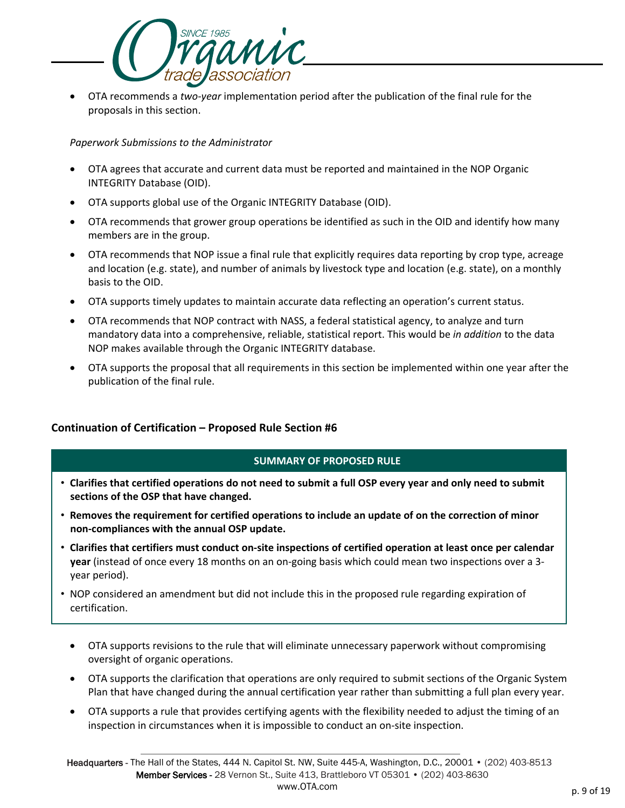

• OTA recommends a *two-year* implementation period after the publication of the final rule for the proposals in this section.

*Paperwork Submissions to the Administrator*

- OTA agrees that accurate and current data must be reported and maintained in the NOP Organic INTEGRITY Database (OID).
- OTA supports global use of the Organic INTEGRITY Database (OID).
- OTA recommends that grower group operations be identified as such in the OID and identify how many members are in the group.
- OTA recommends that NOP issue a final rule that explicitly requires data reporting by crop type, acreage and location (e.g. state), and number of animals by livestock type and location (e.g. state), on a monthly basis to the OID.
- OTA supports timely updates to maintain accurate data reflecting an operation's current status.
- OTA recommends that NOP contract with NASS, a federal statistical agency, to analyze and turn mandatory data into a comprehensive, reliable, statistical report. This would be *in addition* to the data NOP makes available through the Organic INTEGRITY database.
- OTA supports the proposal that all requirements in this section be implemented within one year after the publication of the final rule.

# **Continuation of Certification – Proposed Rule Section #6**

- **Clarifies that certified operations do not need to submit a full OSP every year and only need to submit sections of the OSP that have changed.**
- **Removes the requirement for certified operations to include an update of on the correction of minor non-compliances with the annual OSP update.**
- **Clarifies that certifiers must conduct on-site inspections of certified operation at least once per calendar year** (instead of once every 18 months on an on-going basis which could mean two inspections over a 3 year period).
- NOP considered an amendment but did not include this in the proposed rule regarding expiration of certification.
	- OTA supports revisions to the rule that will eliminate unnecessary paperwork without compromising oversight of organic operations.
	- OTA supports the clarification that operations are only required to submit sections of the Organic System Plan that have changed during the annual certification year rather than submitting a full plan every year.
	- OTA supports a rule that provides certifying agents with the flexibility needed to adjust the timing of an inspection in circumstances when it is impossible to conduct an on-site inspection.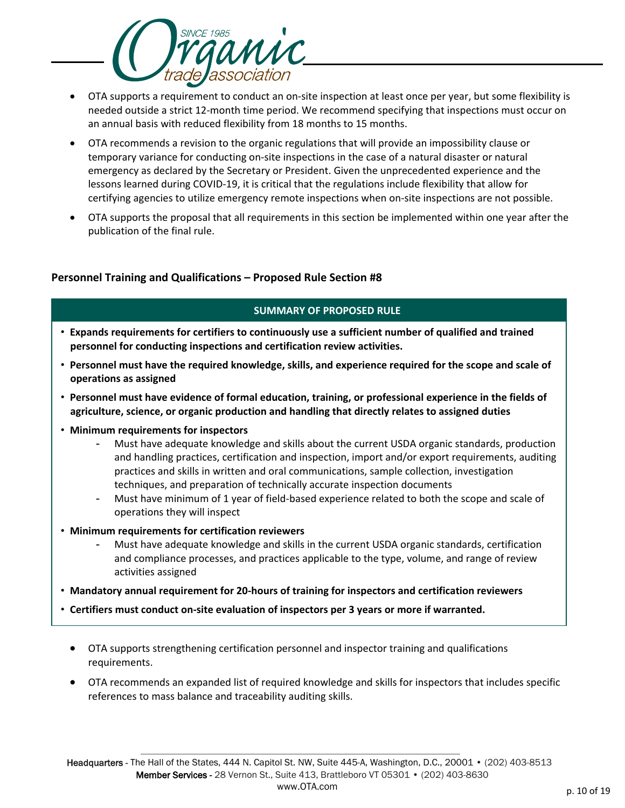

- OTA supports a requirement to conduct an on-site inspection at least once per year, but some flexibility is needed outside a strict 12-month time period. We recommend specifying that inspections must occur on an annual basis with reduced flexibility from 18 months to 15 months.
- OTA recommends a revision to the organic regulations that will provide an impossibility clause or temporary variance for conducting on-site inspections in the case of a natural disaster or natural emergency as declared by the Secretary or President. Given the unprecedented experience and the lessons learned during COVID-19, it is critical that the regulations include flexibility that allow for certifying agencies to utilize emergency remote inspections when on-site inspections are not possible.
- OTA supports the proposal that all requirements in this section be implemented within one year after the publication of the final rule.

# **Personnel Training and Qualifications – Proposed Rule Section #8**

- **Expands requirements for certifiers to continuously use a sufficient number of qualified and trained personnel for conducting inspections and certification review activities.**
- **Personnel must have the required knowledge, skills, and experience required for the scope and scale of operations as assigned**
- **Personnel must have evidence of formal education, training, or professional experience in the fields of agriculture, science, or organic production and handling that directly relates to assigned duties**
- **Minimum requirements for inspectors**
	- Must have adequate knowledge and skills about the current USDA organic standards, production and handling practices, certification and inspection, import and/or export requirements, auditing practices and skills in written and oral communications, sample collection, investigation techniques, and preparation of technically accurate inspection documents
	- Must have minimum of 1 year of field-based experience related to both the scope and scale of operations they will inspect
- **Minimum requirements for certification reviewers**
	- Must have adequate knowledge and skills in the current USDA organic standards, certification and compliance processes, and practices applicable to the type, volume, and range of review activities assigned
- **Mandatory annual requirement for 20-hours of training for inspectors and certification reviewers**
- **Certifiers must conduct on-site evaluation of inspectors per 3 years or more if warranted.** 
	- OTA supports strengthening certification personnel and inspector training and qualifications requirements.
	- OTA recommends an expanded list of required knowledge and skills for inspectors that includes specific references to mass balance and traceability auditing skills.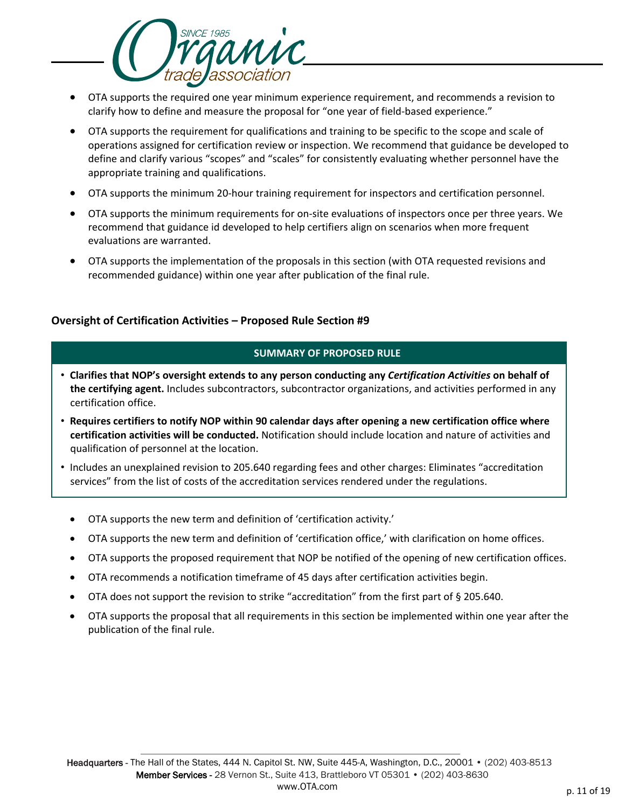

- OTA supports the required one year minimum experience requirement, and recommends a revision to clarify how to define and measure the proposal for "one year of field-based experience."
- OTA supports the requirement for qualifications and training to be specific to the scope and scale of operations assigned for certification review or inspection. We recommend that guidance be developed to define and clarify various "scopes" and "scales" for consistently evaluating whether personnel have the appropriate training and qualifications.
- OTA supports the minimum 20-hour training requirement for inspectors and certification personnel.
- OTA supports the minimum requirements for on-site evaluations of inspectors once per three years. We recommend that guidance id developed to help certifiers align on scenarios when more frequent evaluations are warranted.
- OTA supports the implementation of the proposals in this section (with OTA requested revisions and recommended guidance) within one year after publication of the final rule.

# **Oversight of Certification Activities – Proposed Rule Section #9**

- **Clarifies that NOP's oversight extends to any person conducting any** *Certification Activities* **on behalf of the certifying agent.** Includes subcontractors, subcontractor organizations, and activities performed in any certification office.
- **Requires certifiers to notify NOP within 90 calendar days after opening a new certification office where certification activities will be conducted.** Notification should include location and nature of activities and qualification of personnel at the location.
- Includes an unexplained revision to 205.640 regarding fees and other charges: Eliminates "accreditation services" from the list of costs of the accreditation services rendered under the regulations.
	- OTA supports the new term and definition of 'certification activity.'
	- OTA supports the new term and definition of 'certification office,' with clarification on home offices.
	- OTA supports the proposed requirement that NOP be notified of the opening of new certification offices.
	- OTA recommends a notification timeframe of 45 days after certification activities begin.
	- OTA does not support the revision to strike "accreditation" from the first part of § 205.640.
	- OTA supports the proposal that all requirements in this section be implemented within one year after the publication of the final rule.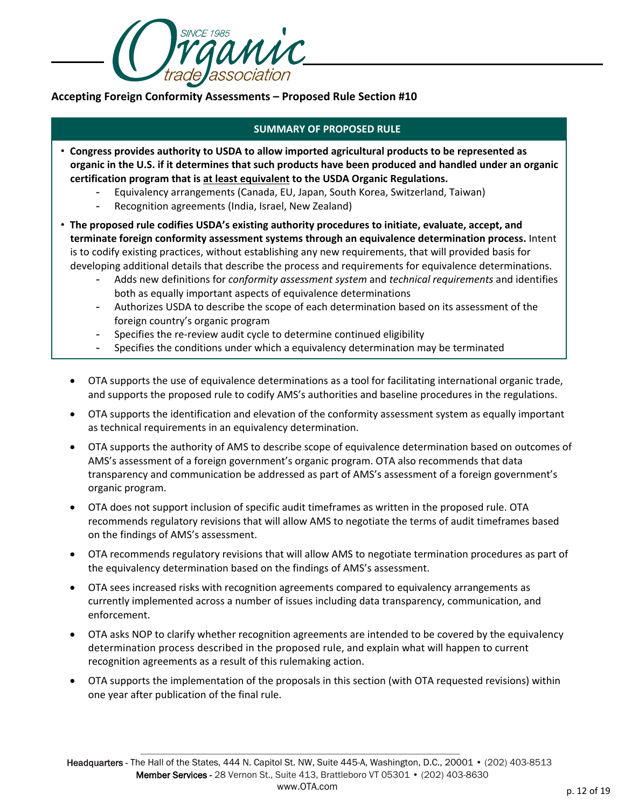

**Accepting Foreign Conformity Assessments – Proposed Rule Section #10**

- **Congress provides authority to USDA to allow imported agricultural products to be represented as organic in the U.S. if it determines that such products have been produced and handled under an organic certification program that is at least equivalent to the USDA Organic Regulations.**
	- Equivalency arrangements (Canada, EU, Japan, South Korea, Switzerland, Taiwan)
	- Recognition agreements (India, Israel, New Zealand)
- **The proposed rule codifies USDA's existing authority procedures to initiate, evaluate, accept, and terminate foreign conformity assessment systems through an equivalence determination process.** Intent is to codify existing practices, without establishing any new requirements, that will provided basis for developing additional details that describe the process and requirements for equivalence determinations.
	- Adds new definitions for *conformity assessment system* and *technical requirements* and identifies both as equally important aspects of equivalence determinations
	- Authorizes USDA to describe the scope of each determination based on its assessment of the foreign country's organic program
	- Specifies the re-review audit cycle to determine continued eligibility
	- Specifies the conditions under which a equivalency determination may be terminated
	- OTA supports the use of equivalence determinations as a tool for facilitating international organic trade, and supports the proposed rule to codify AMS's authorities and baseline procedures in the regulations.
	- OTA supports the identification and elevation of the conformity assessment system as equally important as technical requirements in an equivalency determination.
	- OTA supports the authority of AMS to describe scope of equivalence determination based on outcomes of AMS's assessment of a foreign government's organic program. OTA also recommends that data transparency and communication be addressed as part of AMS's assessment of a foreign government's organic program.
	- OTA does not support inclusion of specific audit timeframes as written in the proposed rule. OTA recommends regulatory revisions that will allow AMS to negotiate the terms of audit timeframes based on the findings of AMS's assessment.
	- OTA recommends regulatory revisions that will allow AMS to negotiate termination procedures as part of the equivalency determination based on the findings of AMS's assessment.
	- OTA sees increased risks with recognition agreements compared to equivalency arrangements as currently implemented across a number of issues including data transparency, communication, and enforcement.
	- OTA asks NOP to clarify whether recognition agreements are intended to be covered by the equivalency determination process described in the proposed rule, and explain what will happen to current recognition agreements as a result of this rulemaking action.
	- OTA supports the implementation of the proposals in this section (with OTA requested revisions) within one year after publication of the final rule.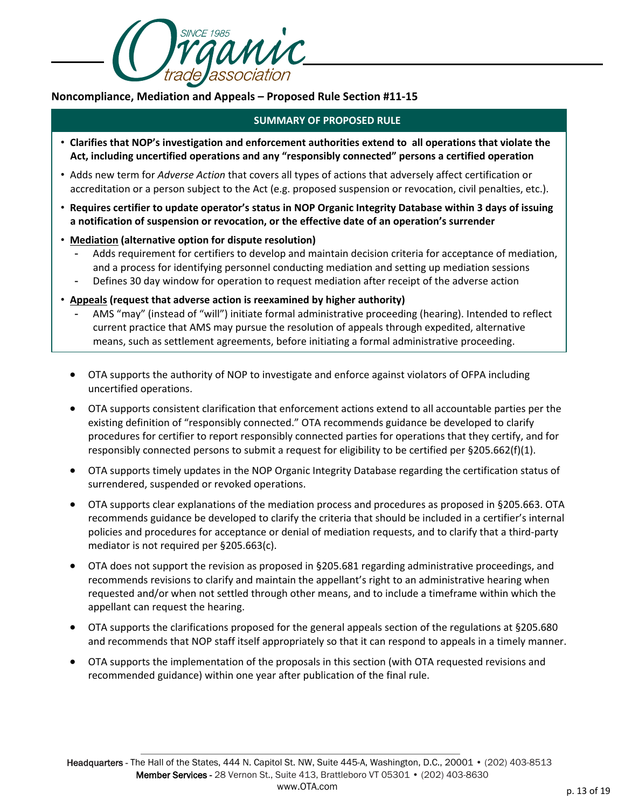

# **Noncompliance, Mediation and Appeals – Proposed Rule Section #11-15**

- **Clarifies that NOP's investigation and enforcement authorities extend to all operations that violate the Act, including uncertified operations and any "responsibly connected" persons a certified operation**
- Adds new term for *Adverse Action* that covers all types of actions that adversely affect certification or accreditation or a person subject to the Act (e.g. proposed suspension or revocation, civil penalties, etc.).
- **Requires certifier to update operator's status in NOP Organic Integrity Database within 3 days of issuing a notification of suspension or revocation, or the effective date of an operation's surrender**
- **Mediation (alternative option for dispute resolution)**
	- Adds requirement for certifiers to develop and maintain decision criteria for acceptance of mediation, and a process for identifying personnel conducting mediation and setting up mediation sessions
	- Defines 30 day window for operation to request mediation after receipt of the adverse action
- **Appeals (request that adverse action is reexamined by higher authority)**
	- AMS "may" (instead of "will") initiate formal administrative proceeding (hearing). Intended to reflect current practice that AMS may pursue the resolution of appeals through expedited, alternative means, such as settlement agreements, before initiating a formal administrative proceeding.
	- OTA supports the authority of NOP to investigate and enforce against violators of OFPA including uncertified operations.
	- OTA supports consistent clarification that enforcement actions extend to all accountable parties per the existing definition of "responsibly connected." OTA recommends guidance be developed to clarify procedures for certifier to report responsibly connected parties for operations that they certify, and for responsibly connected persons to submit a request for eligibility to be certified per §205.662(f)(1).
	- OTA supports timely updates in the NOP Organic Integrity Database regarding the certification status of surrendered, suspended or revoked operations.
	- OTA supports clear explanations of the mediation process and procedures as proposed in §205.663. OTA recommends guidance be developed to clarify the criteria that should be included in a certifier's internal policies and procedures for acceptance or denial of mediation requests, and to clarify that a third-party mediator is not required per §205.663(c).
	- OTA does not support the revision as proposed in §205.681 regarding administrative proceedings, and recommends revisions to clarify and maintain the appellant's right to an administrative hearing when requested and/or when not settled through other means, and to include a timeframe within which the appellant can request the hearing.
	- OTA supports the clarifications proposed for the general appeals section of the regulations at §205.680 and recommends that NOP staff itself appropriately so that it can respond to appeals in a timely manner.
	- OTA supports the implementation of the proposals in this section (with OTA requested revisions and recommended guidance) within one year after publication of the final rule.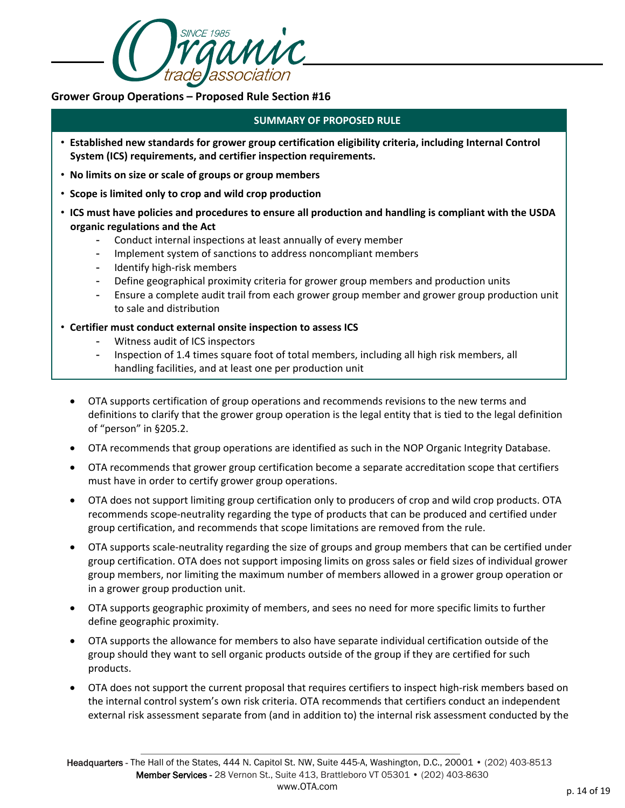

# **Grower Group Operations – Proposed Rule Section #16**

- **Established new standards for grower group certification eligibility criteria, including Internal Control System (ICS) requirements, and certifier inspection requirements.**
- **No limits on size or scale of groups or group members**
- **Scope is limited only to crop and wild crop production**
- **ICS must have policies and procedures to ensure all production and handling is compliant with the USDA organic regulations and the Act**
	- Conduct internal inspections at least annually of every member
	- Implement system of sanctions to address noncompliant members
	- Identify high-risk members
	- Define geographical proximity criteria for grower group members and production units
	- Ensure a complete audit trail from each grower group member and grower group production unit to sale and distribution
- **Certifier must conduct external onsite inspection to assess ICS**
	- Witness audit of ICS inspectors
	- Inspection of 1.4 times square foot of total members, including all high risk members, all handling facilities, and at least one per production unit
	- OTA supports certification of group operations and recommends revisions to the new terms and definitions to clarify that the grower group operation is the legal entity that is tied to the legal definition of "person" in §205.2.
	- OTA recommends that group operations are identified as such in the NOP Organic Integrity Database.
	- OTA recommends that grower group certification become a separate accreditation scope that certifiers must have in order to certify grower group operations.
	- OTA does not support limiting group certification only to producers of crop and wild crop products. OTA recommends scope-neutrality regarding the type of products that can be produced and certified under group certification, and recommends that scope limitations are removed from the rule.
	- OTA supports scale-neutrality regarding the size of groups and group members that can be certified under group certification. OTA does not support imposing limits on gross sales or field sizes of individual grower group members, nor limiting the maximum number of members allowed in a grower group operation or in a grower group production unit.
	- OTA supports geographic proximity of members, and sees no need for more specific limits to further define geographic proximity.
	- OTA supports the allowance for members to also have separate individual certification outside of the group should they want to sell organic products outside of the group if they are certified for such products.
	- OTA does not support the current proposal that requires certifiers to inspect high-risk members based on the internal control system's own risk criteria. OTA recommends that certifiers conduct an independent external risk assessment separate from (and in addition to) the internal risk assessment conducted by the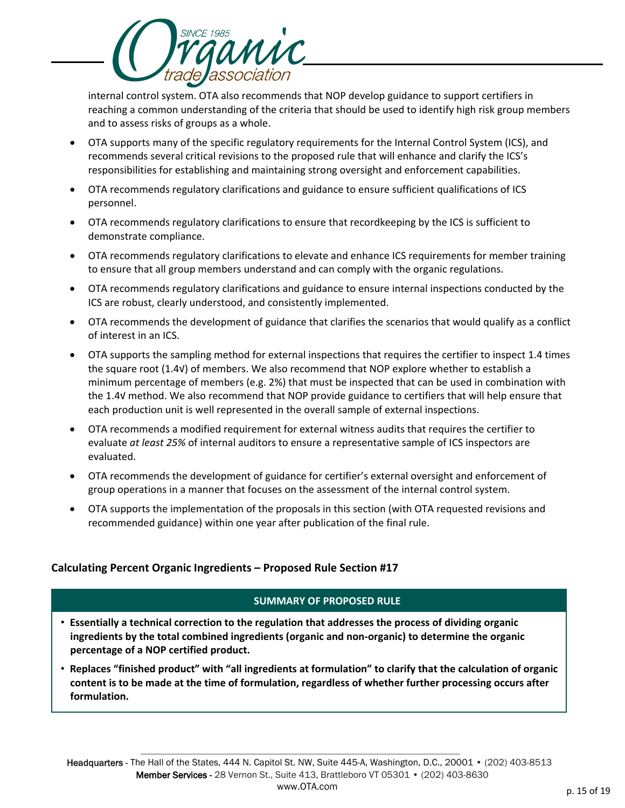

internal control system. OTA also recommends that NOP develop guidance to support certifiers in reaching a common understanding of the criteria that should be used to identify high risk group members and to assess risks of groups as a whole.

- OTA supports many of the specific regulatory requirements for the Internal Control System (ICS), and recommends several critical revisions to the proposed rule that will enhance and clarify the ICS's responsibilities for establishing and maintaining strong oversight and enforcement capabilities.
- OTA recommends regulatory clarifications and guidance to ensure sufficient qualifications of ICS personnel.
- OTA recommends regulatory clarifications to ensure that recordkeeping by the ICS is sufficient to demonstrate compliance.
- OTA recommends regulatory clarifications to elevate and enhance ICS requirements for member training to ensure that all group members understand and can comply with the organic regulations.
- OTA recommends regulatory clarifications and guidance to ensure internal inspections conducted by the ICS are robust, clearly understood, and consistently implemented.
- OTA recommends the development of guidance that clarifies the scenarios that would qualify as a conflict of interest in an ICS.
- OTA supports the sampling method for external inspections that requires the certifier to inspect 1.4 times the square root (1.4√) of members. We also recommend that NOP explore whether to establish a minimum percentage of members (e.g. 2%) that must be inspected that can be used in combination with the 1.4√ method. We also recommend that NOP provide guidance to certifiers that will help ensure that each production unit is well represented in the overall sample of external inspections.
- OTA recommends a modified requirement for external witness audits that requires the certifier to evaluate *at least 25%* of internal auditors to ensure a representative sample of ICS inspectors are evaluated.
- OTA recommends the development of guidance for certifier's external oversight and enforcement of group operations in a manner that focuses on the assessment of the internal control system.
- OTA supports the implementation of the proposals in this section (with OTA requested revisions and recommended guidance) within one year after publication of the final rule.

# **Calculating Percent Organic Ingredients – Proposed Rule Section #17**

- **Essentially a technical correction to the regulation that addresses the process of dividing organic ingredients by the total combined ingredients (organic and non-organic) to determine the organic percentage of a NOP certified product.**
- **Replaces "finished product" with "all ingredients at formulation" to clarify that the calculation of organic content is to be made at the time of formulation, regardless of whether further processing occurs after formulation.**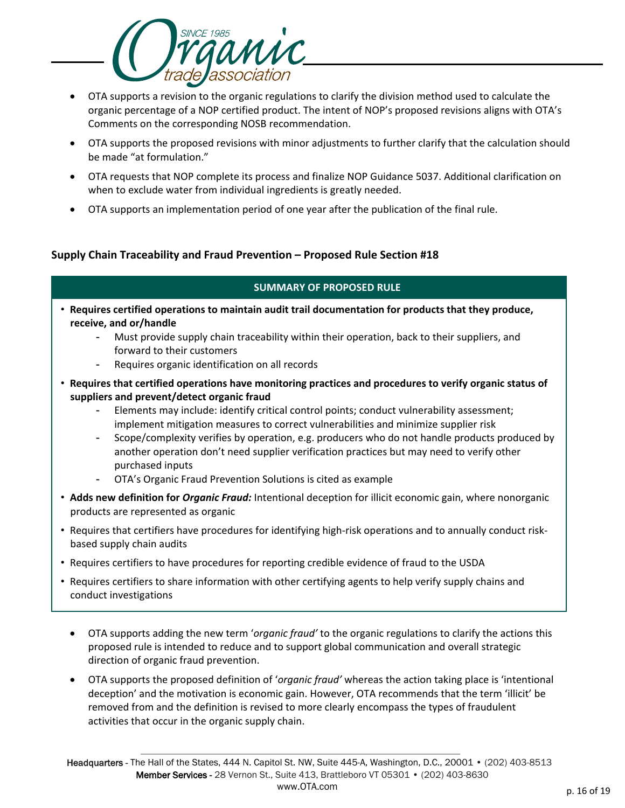

- OTA supports a revision to the organic regulations to clarify the division method used to calculate the organic percentage of a NOP certified product. The intent of NOP's proposed revisions aligns with OTA's Comments on the corresponding NOSB recommendation.
- OTA supports the proposed revisions with minor adjustments to further clarify that the calculation should be made "at formulation."
- OTA requests that NOP complete its process and finalize NOP Guidance 5037. Additional clarification on when to exclude water from individual ingredients is greatly needed.
- OTA supports an implementation period of one year after the publication of the final rule.

# **Supply Chain Traceability and Fraud Prevention – Proposed Rule Section #18**

- **Requires certified operations to maintain audit trail documentation for products that they produce, receive, and or/handle**
	- Must provide supply chain traceability within their operation, back to their suppliers, and forward to their customers
	- Requires organic identification on all records
- **Requires that certified operations have monitoring practices and procedures to verify organic status of suppliers and prevent/detect organic fraud**
	- Elements may include: identify critical control points; conduct vulnerability assessment; implement mitigation measures to correct vulnerabilities and minimize supplier risk
	- Scope/complexity verifies by operation, e.g. producers who do not handle products produced by another operation don't need supplier verification practices but may need to verify other purchased inputs
	- OTA's Organic Fraud Prevention Solutions is cited as example
- **Adds new definition for** *Organic Fraud:* Intentional deception for illicit economic gain, where nonorganic products are represented as organic
- Requires that certifiers have procedures for identifying high-risk operations and to annually conduct riskbased supply chain audits
- Requires certifiers to have procedures for reporting credible evidence of fraud to the USDA
- Requires certifiers to share information with other certifying agents to help verify supply chains and conduct investigations
	- OTA supports adding the new term '*organic fraud'* to the organic regulations to clarify the actions this proposed rule is intended to reduce and to support global communication and overall strategic direction of organic fraud prevention.
	- OTA supports the proposed definition of '*organic fraud'* whereas the action taking place is 'intentional deception' and the motivation is economic gain. However, OTA recommends that the term 'illicit' be removed from and the definition is revised to more clearly encompass the types of fraudulent activities that occur in the organic supply chain.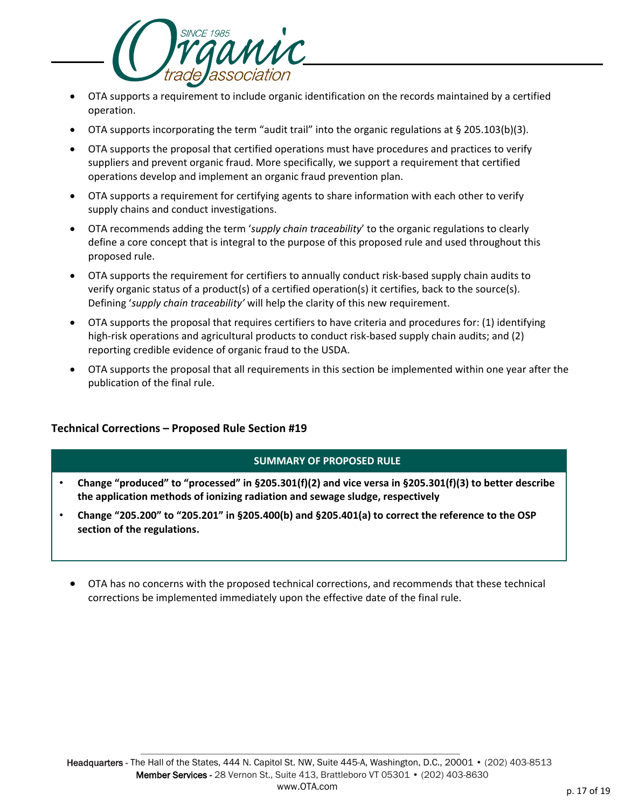

- OTA supports a requirement to include organic identification on the records maintained by a certified operation.
- OTA supports incorporating the term "audit trail" into the organic regulations at § 205.103(b)(3).
- OTA supports the proposal that certified operations must have procedures and practices to verify suppliers and prevent organic fraud. More specifically, we support a requirement that certified operations develop and implement an organic fraud prevention plan.
- OTA supports a requirement for certifying agents to share information with each other to verify supply chains and conduct investigations.
- OTA recommends adding the term '*supply chain traceability*' to the organic regulations to clearly define a core concept that is integral to the purpose of this proposed rule and used throughout this proposed rule.
- OTA supports the requirement for certifiers to annually conduct risk-based supply chain audits to verify organic status of a product(s) of a certified operation(s) it certifies, back to the source(s). Defining '*supply chain traceability'* will help the clarity of this new requirement.
- OTA supports the proposal that requires certifiers to have criteria and procedures for: (1) identifying high-risk operations and agricultural products to conduct risk-based supply chain audits; and (2) reporting credible evidence of organic fraud to the USDA.
- OTA supports the proposal that all requirements in this section be implemented within one year after the publication of the final rule.

# **Technical Corrections – Proposed Rule Section #19**

- **Change "produced" to "processed" in §205.301(f)(2) and vice versa in §205.301(f)(3) to better describe the application methods of ionizing radiation and sewage sludge, respectively**
- **Change "205.200" to "205.201" in §205.400(b) and §205.401(a) to correct the reference to the OSP section of the regulations.**
	- OTA has no concerns with the proposed technical corrections, and recommends that these technical corrections be implemented immediately upon the effective date of the final rule.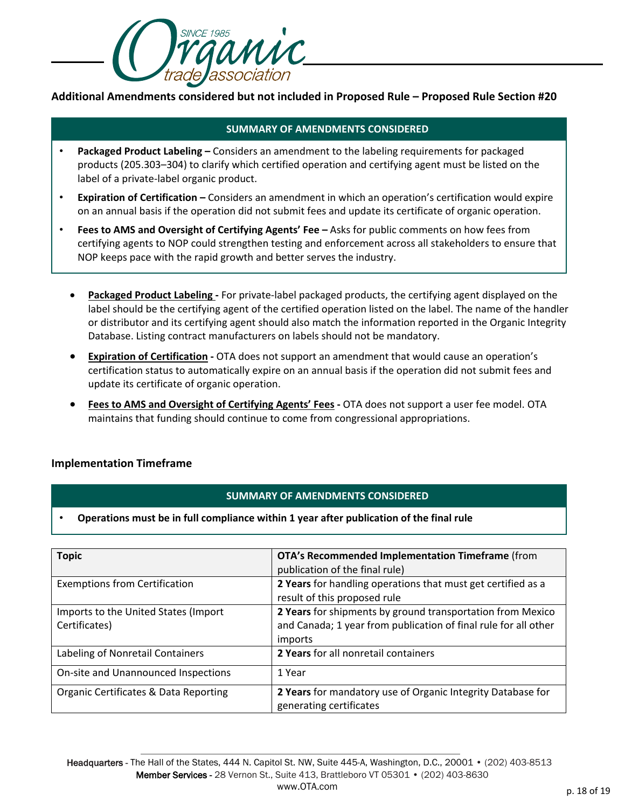

**Additional Amendments considered but not included in Proposed Rule – Proposed Rule Section #20**

# **SUMMARY OF AMENDMENTS CONSIDERED**

- **Packaged Product Labeling –** Considers an amendment to the labeling requirements for packaged products (205.303–304) to clarify which certified operation and certifying agent must be listed on the label of a private-label organic product.
- **Expiration of Certification –** Considers an amendment in which an operation's certification would expire on an annual basis if the operation did not submit fees and update its certificate of organic operation.
- **Fees to AMS and Oversight of Certifying Agents' Fee –** Asks for public comments on how fees from certifying agents to NOP could strengthen testing and enforcement across all stakeholders to ensure that NOP keeps pace with the rapid growth and better serves the industry.
	- **Packaged Product Labeling -** For private-label packaged products, the certifying agent displayed on the label should be the certifying agent of the certified operation listed on the label. The name of the handler or distributor and its certifying agent should also match the information reported in the Organic Integrity Database. Listing contract manufacturers on labels should not be mandatory.
	- **Expiration of Certification -** OTA does not support an amendment that would cause an operation's certification status to automatically expire on an annual basis if the operation did not submit fees and update its certificate of organic operation.
	- **Fees to AMS and Oversight of Certifying Agents' Fees -** OTA does not support a user fee model. OTA maintains that funding should continue to come from congressional appropriations.

# **Implementation Timeframe**

#### **SUMMARY OF AMENDMENTS CONSIDERED**

#### • **Operations must be in full compliance within 1 year after publication of the final rule**

| <b>Topic</b>                                          | OTA's Recommended Implementation Timeframe (from<br>publication of the final rule)                                                       |
|-------------------------------------------------------|------------------------------------------------------------------------------------------------------------------------------------------|
| <b>Exemptions from Certification</b>                  | 2 Years for handling operations that must get certified as a<br>result of this proposed rule                                             |
| Imports to the United States (Import<br>Certificates) | 2 Years for shipments by ground transportation from Mexico<br>and Canada; 1 year from publication of final rule for all other<br>imports |
| Labeling of Nonretail Containers                      | 2 Years for all nonretail containers                                                                                                     |
| On-site and Unannounced Inspections                   | 1 Year                                                                                                                                   |
| Organic Certificates & Data Reporting                 | 2 Years for mandatory use of Organic Integrity Database for<br>generating certificates                                                   |